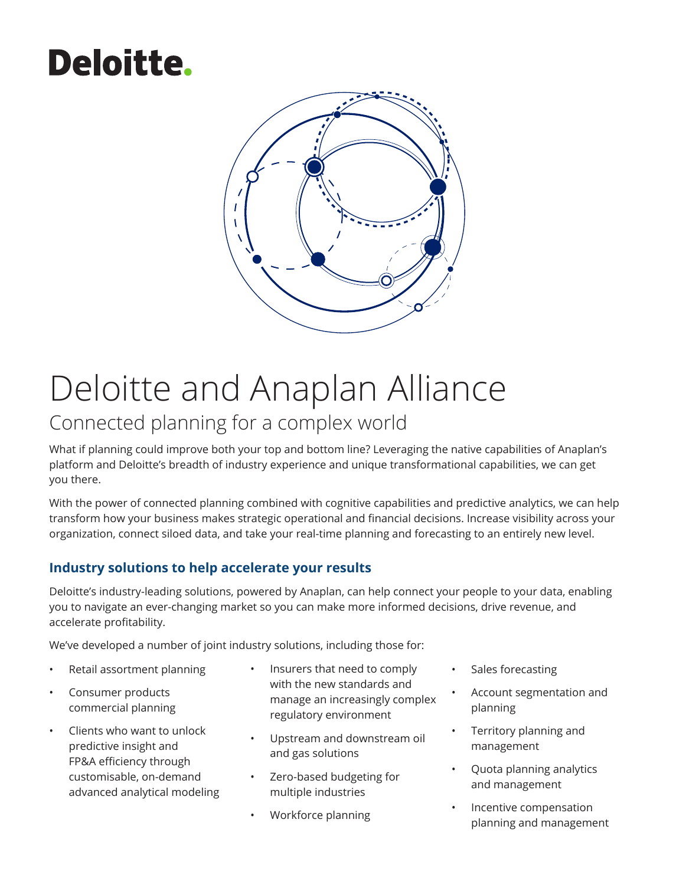# **Deloitte.**



# Deloitte and Anaplan Alliance

## Connected planning for a complex world

What if planning could improve both your top and bottom line? Leveraging the native capabilities of Anaplan's platform and Deloitte's breadth of industry experience and unique transformational capabilities, we can get you there.

With the power of connected planning combined with cognitive capabilities and predictive analytics, we can help transform how your business makes strategic operational and financial decisions. Increase visibility across your organization, connect siloed data, and take your real-time planning and forecasting to an entirely new level.

### **Industry solutions to help accelerate your results**

Deloitte's industry-leading solutions, powered by Anaplan, can help connect your people to your data, enabling you to navigate an ever-changing market so you can make more informed decisions, drive revenue, and accelerate profitability.

We've developed a number of joint industry solutions, including those for:

- Retail assortment planning
- Consumer products commercial planning
- Clients who want to unlock predictive insight and FP&A efficiency through customisable, on-demand advanced analytical modeling
- Insurers that need to comply with the new standards and manage an increasingly complex regulatory environment
- Upstream and downstream oil and gas solutions
- Zero-based budgeting for multiple industries
- Workforce planning
- Sales forecasting
- Account segmentation and planning
- Territory planning and management
- Quota planning analytics and management
- Incentive compensation planning and management